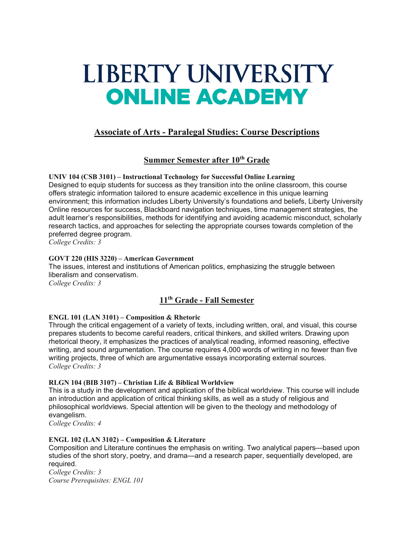# LIBERTY UNIVERSITY **ONLINE ACADEMY**

# **Associate of Arts - Paralegal Studies: Course Descriptions**

# **Summer Semester after 10th Grade**

**UNIV 104 (CSB 3101) – Instructional Technology for Successful Online Learning** Designed to equip students for success as they transition into the online classroom, this course offers strategic information tailored to ensure academic excellence in this unique learning environment; this information includes Liberty University's foundations and beliefs, Liberty University Online resources for success, Blackboard navigation techniques, time management strategies, the adult learner's responsibilities, methods for identifying and avoiding academic misconduct, scholarly research tactics, and approaches for selecting the appropriate courses towards completion of the preferred degree program.

*College Credits: 3*

## **GOVT 220 (HIS 3220) – American Government**

The issues, interest and institutions of American politics, emphasizing the struggle between liberalism and conservatism. *College Credits: 3*

# **11th Grade - Fall Semester**

## **ENGL 101 (LAN 3101) – Composition & Rhetoric**

Through the critical engagement of a variety of texts, including written, oral, and visual, this course prepares students to become careful readers, critical thinkers, and skilled writers. Drawing upon rhetorical theory, it emphasizes the practices of analytical reading, informed reasoning, effective writing, and sound argumentation. The course requires 4,000 words of writing in no fewer than five writing projects, three of which are argumentative essays incorporating external sources. *College Credits: 3*

## **RLGN 104 (BIB 3107) – Christian Life & Biblical Worldview**

This is a study in the development and application of the biblical worldview. This course will include an introduction and application of critical thinking skills, as well as a study of religious and philosophical worldviews. Special attention will be given to the theology and methodology of evangelism.

*College Credits: 4*

## **ENGL 102 (LAN 3102) – Composition & Literature**

Composition and Literature continues the emphasis on writing. Two analytical papers—based upon studies of the short story, poetry, and drama—and a research paper, sequentially developed, are required.

*College Credits: 3 Course Prerequisites: ENGL 101*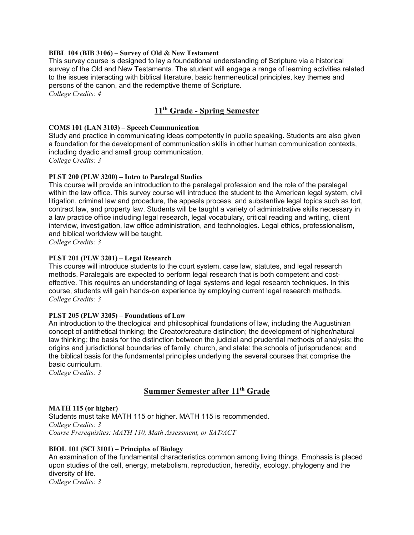#### **BIBL 104 (BIB 3106) – Survey of Old & New Testament**

This survey course is designed to lay a foundational understanding of Scripture via a historical survey of the Old and New Testaments. The student will engage a range of learning activities related to the issues interacting with biblical literature, basic hermeneutical principles, key themes and persons of the canon, and the redemptive theme of Scripture.

*College Credits: 4*

# **11th Grade - Spring Semester**

#### **COMS 101 (LAN 3103) – Speech Communication**

Study and practice in communicating ideas competently in public speaking. Students are also given a foundation for the development of communication skills in other human communication contexts, including dyadic and small group communication. *College Credits: 3*

#### **PLST 200 (PLW 3200) – Intro to Paralegal Studies**

This course will provide an introduction to the paralegal profession and the role of the paralegal within the law office. This survey course will introduce the student to the American legal system, civil litigation, criminal law and procedure, the appeals process, and substantive legal topics such as tort, contract law, and property law. Students will be taught a variety of administrative skills necessary in a law practice office including legal research, legal vocabulary, critical reading and writing, client interview, investigation, law office administration, and technologies. Legal ethics, professionalism, and biblical worldview will be taught.

*College Credits: 3*

## **PLST 201 (PLW 3201) – Legal Research**

This course will introduce students to the court system, case law, statutes, and legal research methods. Paralegals are expected to perform legal research that is both competent and costeffective. This requires an understanding of legal systems and legal research techniques. In this course, students will gain hands-on experience by employing current legal research methods. *College Credits: 3*

#### **PLST 205 (PLW 3205) – Foundations of Law**

An introduction to the theological and philosophical foundations of law, including the Augustinian concept of antithetical thinking; the Creator/creature distinction; the development of higher/natural law thinking; the basis for the distinction between the judicial and prudential methods of analysis; the origins and jurisdictional boundaries of family, church, and state: the schools of jurisprudence; and the biblical basis for the fundamental principles underlying the several courses that comprise the basic curriculum.

*College Credits: 3*

## **Summer Semester after 11th Grade**

#### **MATH 115 (or higher)**

Students must take MATH 115 or higher. MATH 115 is recommended. *College Credits: 3 Course Prerequisites: MATH 110, Math Assessment, or SAT/ACT*

#### **BIOL 101 (SCI 3101) – Principles of Biology**

An examination of the fundamental characteristics common among living things. Emphasis is placed upon studies of the cell, energy, metabolism, reproduction, heredity, ecology, phylogeny and the diversity of life. *College Credits: 3*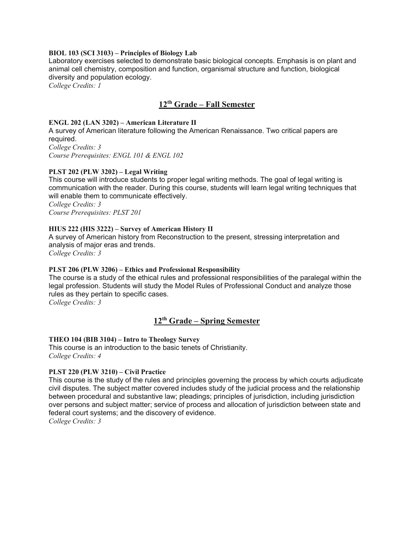#### **BIOL 103 (SCI 3103) – Principles of Biology Lab**

Laboratory exercises selected to demonstrate basic biological concepts. Emphasis is on plant and animal cell chemistry, composition and function, organismal structure and function, biological diversity and population ecology.

*College Credits: 1*

## **12th Grade – Fall Semester**

#### **ENGL 202 (LAN 3202) – American Literature II**

A survey of American literature following the American Renaissance. Two critical papers are required.

*College Credits: 3 Course Prerequisites: ENGL 101 & ENGL 102*

#### **PLST 202 (PLW 3202) – Legal Writing**

This course will introduce students to proper legal writing methods. The goal of legal writing is communication with the reader. During this course, students will learn legal writing techniques that will enable them to communicate effectively.

*College Credits: 3 Course Prerequisites: PLST 201*

#### **HIUS 222 (HIS 3222) – Survey of American History II**

A survey of American history from Reconstruction to the present, stressing interpretation and analysis of major eras and trends.

*College Credits: 3*

#### **PLST 206 (PLW 3206) – Ethics and Professional Responsibility**

The course is a study of the ethical rules and professional responsibilities of the paralegal within the legal profession. Students will study the Model Rules of Professional Conduct and analyze those rules as they pertain to specific cases.

*College Credits: 3*

# **12th Grade – Spring Semester**

#### **THEO 104 (BIB 3104) – Intro to Theology Survey**

This course is an introduction to the basic tenets of Christianity. *College Credits: 4*

#### **PLST 220 (PLW 3210) – Civil Practice**

This course is the study of the rules and principles governing the process by which courts adjudicate civil disputes. The subject matter covered includes study of the judicial process and the relationship between procedural and substantive law; pleadings; principles of jurisdiction, including jurisdiction over persons and subject matter; service of process and allocation of jurisdiction between state and federal court systems; and the discovery of evidence.

*College Credits: 3*